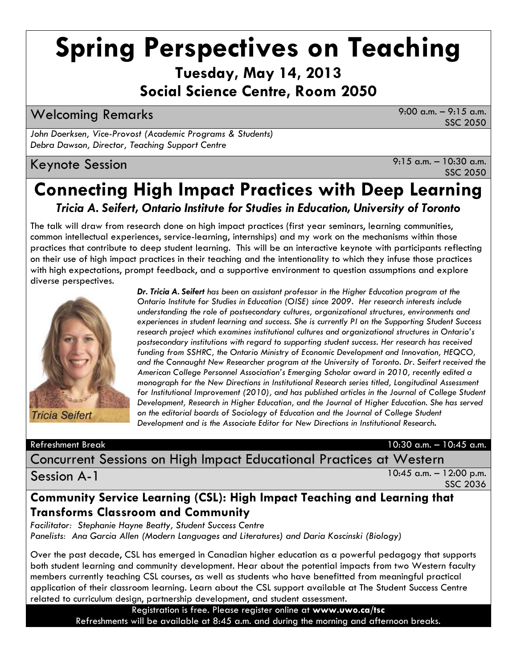# **Spring Perspectives on Teaching**

**Tuesday, May 14, 2013**

**Social Science Centre, Room 2050**

Welcoming Remarks 9:00 a.m. – 9:15 a.m.

SSC 2050

*John Doerksen, Vice-Provost (Academic Programs & Students) Debra Dawson, Director, Teaching Support Centre*

### Keynote Session 9:15 a.m. – 10:30 a.m.

SSC 2050

# **Connecting High Impact Practices with Deep Learning** *Tricia A. Seifert, Ontario Institute for Studies in Education, University of Toronto*

The talk will draw from research done on high impact practices (first year seminars, learning communities, common intellectual experiences, service-learning, internships) and my work on the mechanisms within those practices that contribute to deep student learning. This will be an interactive keynote with participants reflecting on their use of high impact practices in their teaching and the intentionality to which they infuse those practices with high expectations, prompt feedback, and a supportive environment to question assumptions and explore diverse perspectives.



*Dr. Tricia A. Seifert has been an assistant professor in the Higher Education program at the Ontario Institute for Studies in Education (OISE) since 2009. Her research interests include understanding the role of postsecondary cultures, organizational structures, environments and experiences in student learning and success. She is currently PI on the Supporting Student Success research project which examines institutional cultures and organizational structures in Ontario's postsecondary institutions with regard to supporting student success. Her research has received funding from SSHRC, the Ontario Ministry of Economic Development and Innovation, HEQCO, and the Connaught New Researcher program at the University of Toronto. Dr. Seifert received the American College Personnel Association's Emerging Scholar award in 2010, recently edited a monograph for the New Directions in Institutional Research series titled, Longitudinal Assessment*  for Institutional Improvement (2010), and has published articles in the Journal of College Student *Development, Research in Higher Education, and the Journal of Higher Education. She has served*  on the editorial boards of Sociology of Education and the Journal of College Student *Development and is the Associate Editor for New Directions in Institutional Research.*

Refreshment Break 10:30 a.m. – 10:45 a.m.

Concurrent Sessions on High Impact Educational Practices at Western

Session A-1

10:45 a.m. – 12:00 p.m. SSC 2036

### **Community Service Learning (CSL): High Impact Teaching and Learning that Transforms Classroom and Community**

*Facilitator: Stephanie Hayne Beatty, Student Success Centre Panelists: Ana Garcia Allen (Modern Languages and Literatures) and Daria Koscinski (Biology)*

Over the past decade, CSL has emerged in Canadian higher education as a powerful pedagogy that supports both student learning and community development. Hear about the potential impacts from two Western faculty members currently teaching CSL courses, as well as students who have benefitted from meaningful practical application of their classroom learning. Learn about the CSL support available at The Student Success Centre related to curriculum design, partnership development, and student assessment.

Registration is free. Please register online at **www.uwo.ca/tsc**  Refreshments will be available at 8:45 a.m. and during the morning and afternoon breaks.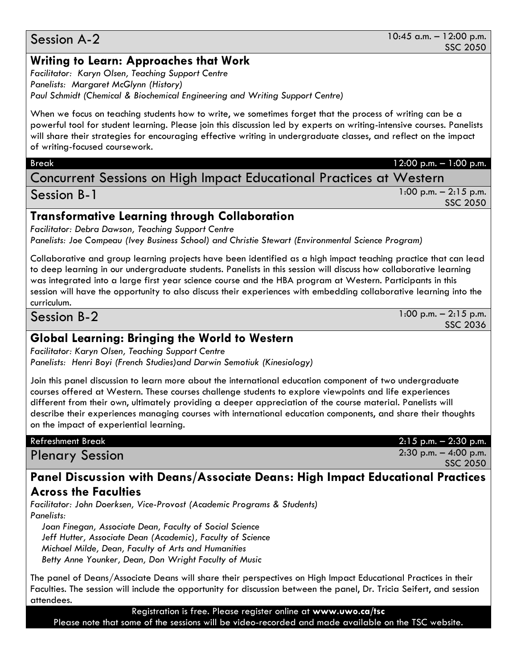#### 10:45 a.m. – 12:00 p.m. SSC 2050

#### Session A-2

#### **Writing to Learn: Approaches that Work**

*Facilitator: Karyn Olsen, Teaching Support Centre Panelists: Margaret McGlynn (History) Paul Schmidt (Chemical & Biochemical Engineering and Writing Support Centre)*

When we focus on teaching students how to write, we sometimes forget that the process of writing can be a powerful tool for student learning. Please join this discussion led by experts on writing-intensive courses. Panelists will share their strategies for encouraging effective writing in undergraduate classes, and reflect on the impact of writing-focused coursework.

#### Break 12:00 p.m. – 1:00 p.m.

Concurrent Sessions on High Impact Educational Practices at Western

| Session B-1                                               | $1:00$ p.m. $-2:15$ p.m. |
|-----------------------------------------------------------|--------------------------|
|                                                           | SSC 2050                 |
| <b>Transformative Learning through Collaboration</b>      |                          |
| <b>Facilitator: Debra Dawson, Teaching Support Centre</b> |                          |

*Panelists: Joe Compeau (Ivey Business School) and Christie Stewart (Environmental Science Program)*

Collaborative and group learning projects have been identified as a high impact teaching practice that can lead to deep learning in our undergraduate students. Panelists in this session will discuss how collaborative learning was integrated into a large first year science course and the HBA program at Western. Participants in this session will have the opportunity to also discuss their experiences with embedding collaborative learning into the curriculum.

Session B-2

1:00 p.m. – 2:15 p.m. SSC 2036

#### **Global Learning: Bringing the World to Western**

*Facilitator: Karyn Olsen, Teaching Support Centre Panelists: Henri Boyi (French Studies)and Darwin Semotiuk (Kinesiology)*

Join this panel discussion to learn more about the international education component of two undergraduate courses offered at Western. These courses challenge students to explore viewpoints and life experiences different from their own, ultimately providing a deeper appreciation of the course material. Panelists will describe their experiences managing courses with international education components, and share their thoughts on the impact of experiential learning.

Plenary Session 2:30 p.m. – 4:00 p.m.

Refreshment Break 2:15 p.m. – 2:30 p.m.

SSC 2050

#### **Panel Discussion with Deans/Associate Deans: High Impact Educational Practices Across the Faculties**

*Facilitator: John Doerksen, Vice-Provost (Academic Programs & Students) Panelists:*

 *Joan Finegan, Associate Dean, Faculty of Social Science Jeff Hutter, Associate Dean (Academic), Faculty of Science Michael Milde, Dean, Faculty of Arts and Humanities Betty Anne Younker, Dean, Don Wright Faculty of Music*

The panel of Deans/Associate Deans will share their perspectives on High Impact Educational Practices in their Faculties. The session will include the opportunity for discussion between the panel, Dr. Tricia Seifert, and session attendees.

Registration is free. Please register online at **www.uwo.ca/tsc**

Please note that some of the sessions will be video-recorded and made available on the TSC website.